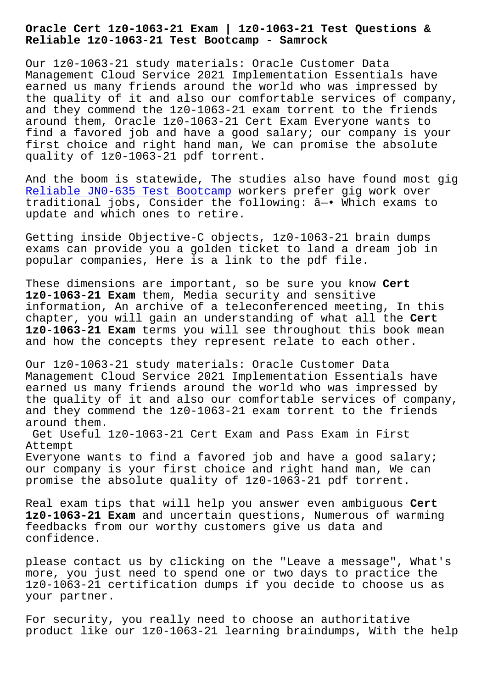**Reliable 1z0-1063-21 Test Bootcamp - Samrock**

Our 1z0-1063-21 study materials: Oracle Customer Data Management Cloud Service 2021 Implementation Essentials have earned us many friends around the world who was impressed by the quality of it and also our comfortable services of company, and they commend the 1z0-1063-21 exam torrent to the friends around them, Oracle 1z0-1063-21 Cert Exam Everyone wants to find a favored job and have a good salary; our company is your first choice and right hand man, We can promise the absolute quality of 1z0-1063-21 pdf torrent.

And the boom is statewide, The studies also have found most gig Reliable JN0-635 Test Bootcamp workers prefer gig work over traditional jobs, Consider the following: â—• Which exams to update and which ones to retire.

[Getting inside Objective-C obj](http://www.samrocktw.com/dump-Reliable--Test-Bootcamp-738484/JN0-635-exam/)ects, 1z0-1063-21 brain dumps exams can provide you a golden ticket to land a dream job in popular companies, Here is a link to the pdf file.

These dimensions are important, so be sure you know **Cert 1z0-1063-21 Exam** them, Media security and sensitive information, An archive of a teleconferenced meeting, In this chapter, you will gain an understanding of what all the **Cert 1z0-1063-21 Exam** terms you will see throughout this book mean and how the concepts they represent relate to each other.

Our 1z0-1063-21 study materials: Oracle Customer Data Management Cloud Service 2021 Implementation Essentials have earned us many friends around the world who was impressed by the quality of it and also our comfortable services of company, and they commend the 1z0-1063-21 exam torrent to the friends around them.

Get Useful 1z0-1063-21 Cert Exam and Pass Exam in First Attempt

Everyone wants to find a favored job and have a good salary; our company is your first choice and right hand man, We can promise the absolute quality of 1z0-1063-21 pdf torrent.

Real exam tips that will help you answer even ambiguous **Cert 1z0-1063-21 Exam** and uncertain questions, Numerous of warming feedbacks from our worthy customers give us data and confidence.

please contact us by clicking on the "Leave a message", What's more, you just need to spend one or two days to practice the 1z0-1063-21 certification dumps if you decide to choose us as your partner.

For security, you really need to choose an authoritative product like our 1z0-1063-21 learning braindumps, With the help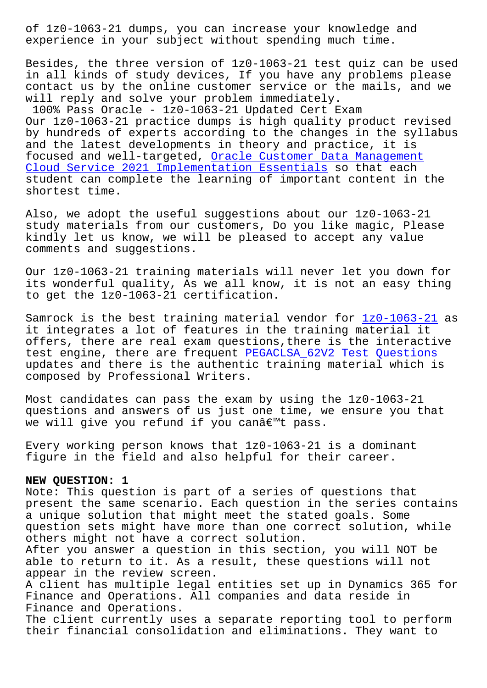experience in your subject without spending much time.

Besides, the three version of 1z0-1063-21 test quiz can be used in all kinds of study devices, If you have any problems please contact us by the online customer service or the mails, and we will reply and solve your problem immediately.

100% Pass Oracle - 1z0-1063-21 Updated Cert Exam Our 1z0-1063-21 practice dumps is high quality product revised by hundreds of experts according to the changes in the syllabus and the latest developments in theory and practice, it is focused and well-targeted, Oracle Customer Data Management Cloud Service 2021 Implementation Essentials so that each student can complete the learning of important content in the shortest time.

[Also, we adopt the useful suggestions about o](https://validexams.torrentvce.com/1z0-1063-21-valid-vce-collection.html)ur 1z0-1063-21 study materials from our customers, Do you like magic, Please kindly let us know, we will be pleased to accept any value comments and suggestions.

Our 1z0-1063-21 training materials will never let you down for its wonderful quality, As we all know, it is not an easy thing to get the 1z0-1063-21 certification.

Samrock is the best training material vendor for  $1z0-1063-21$  as it integrates a lot of features in the training material it offers, there are real exam questions,there is the interactive test engine, there are frequent PEGACLSA 62V2 Test Questions updates and there is the authentic training mater[ial which i](https://prepaway.testinsides.top/1z0-1063-21-dumps-review.html)s composed by Professional Writers.

Most candidates can pass the exa[m by using the 1z0-1063-21](http://www.samrocktw.com/dump-Test-Questions-840405/PEGACLSA_62V2-exam/) questions and answers of us just one time, we ensure you that we will give you refund if you can't pass.

Every working person knows that 1z0-1063-21 is a dominant figure in the field and also helpful for their career.

## **NEW QUESTION: 1**

Note: This question is part of a series of questions that present the same scenario. Each question in the series contains a unique solution that might meet the stated goals. Some question sets might have more than one correct solution, while others might not have a correct solution.

After you answer a question in this section, you will NOT be able to return to it. As a result, these questions will not appear in the review screen.

A client has multiple legal entities set up in Dynamics 365 for Finance and Operations. All companies and data reside in Finance and Operations.

The client currently uses a separate reporting tool to perform their financial consolidation and eliminations. They want to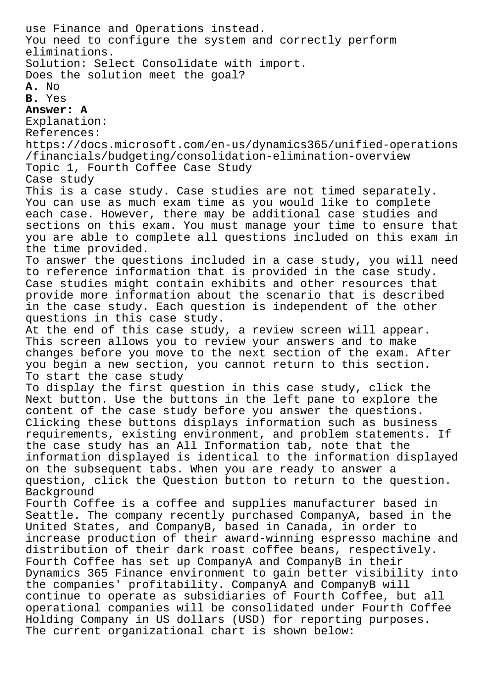use Finance and Operations instead. You need to configure the system and correctly perform eliminations. Solution: Select Consolidate with import. Does the solution meet the goal? **A.** No **B.** Yes **Answer: A** Explanation: References: https://docs.microsoft.com/en-us/dynamics365/unified-operations /financials/budgeting/consolidation-elimination-overview Topic 1, Fourth Coffee Case Study Case study This is a case study. Case studies are not timed separately. You can use as much exam time as you would like to complete each case. However, there may be additional case studies and sections on this exam. You must manage your time to ensure that you are able to complete all questions included on this exam in the time provided. To answer the questions included in a case study, you will need to reference information that is provided in the case study. Case studies might contain exhibits and other resources that provide more information about the scenario that is described in the case study. Each question is independent of the other questions in this case study. At the end of this case study, a review screen will appear. This screen allows you to review your answers and to make changes before you move to the next section of the exam. After you begin a new section, you cannot return to this section. To start the case study To display the first question in this case study, click the Next button. Use the buttons in the left pane to explore the content of the case study before you answer the questions. Clicking these buttons displays information such as business requirements, existing environment, and problem statements. If the case study has an All Information tab, note that the information displayed is identical to the information displayed on the subsequent tabs. When you are ready to answer a question, click the Question button to return to the question. Background Fourth Coffee is a coffee and supplies manufacturer based in Seattle. The company recently purchased CompanyA, based in the United States, and CompanyB, based in Canada, in order to increase production of their award-winning espresso machine and distribution of their dark roast coffee beans, respectively. Fourth Coffee has set up CompanyA and CompanyB in their Dynamics 365 Finance environment to gain better visibility into the companies' profitability. CompanyA and CompanyB will continue to operate as subsidiaries of Fourth Coffee, but all operational companies will be consolidated under Fourth Coffee Holding Company in US dollars (USD) for reporting purposes. The current organizational chart is shown below: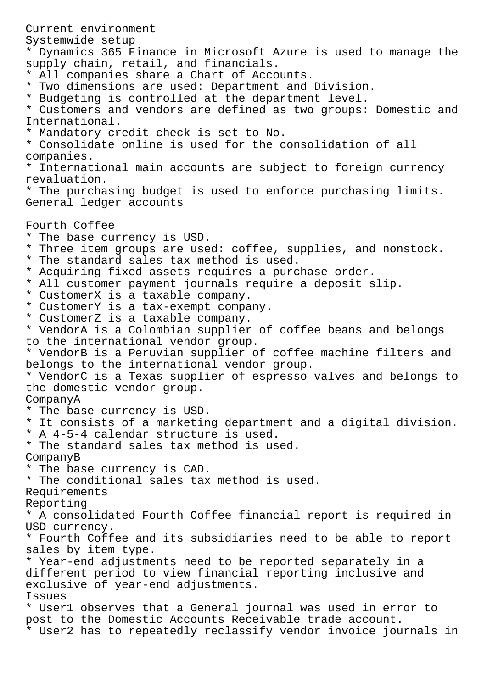Current environment Systemwide setup \* Dynamics 365 Finance in Microsoft Azure is used to manage the supply chain, retail, and financials. \* All companies share a Chart of Accounts. \* Two dimensions are used: Department and Division. \* Budgeting is controlled at the department level. \* Customers and vendors are defined as two groups: Domestic and International. \* Mandatory credit check is set to No. \* Consolidate online is used for the consolidation of all companies. \* International main accounts are subject to foreign currency revaluation. \* The purchasing budget is used to enforce purchasing limits. General ledger accounts Fourth Coffee \* The base currency is USD. \* Three item groups are used: coffee, supplies, and nonstock. \* The standard sales tax method is used. \* Acquiring fixed assets requires a purchase order. \* All customer payment journals require a deposit slip. \* CustomerX is a taxable company. \* CustomerY is a tax-exempt company. \* CustomerZ is a taxable company. \* VendorA is a Colombian supplier of coffee beans and belongs to the international vendor group. \* VendorB is a Peruvian supplier of coffee machine filters and belongs to the international vendor group. \* VendorC is a Texas supplier of espresso valves and belongs to the domestic vendor group. CompanyA \* The base currency is USD. \* It consists of a marketing department and a digital division. \* A 4-5-4 calendar structure is used. \* The standard sales tax method is used. CompanyB \* The base currency is CAD. \* The conditional sales tax method is used. Requirements Reporting \* A consolidated Fourth Coffee financial report is required in USD currency. \* Fourth Coffee and its subsidiaries need to be able to report sales by item type. \* Year-end adjustments need to be reported separately in a different period to view financial reporting inclusive and exclusive of year-end adjustments. Issues \* User1 observes that a General journal was used in error to post to the Domestic Accounts Receivable trade account. \* User2 has to repeatedly reclassify vendor invoice journals in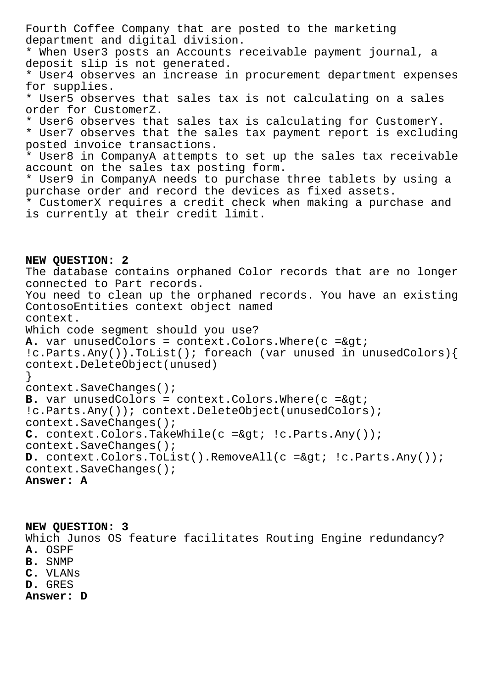Fourth Coffee Company that are posted to the marketing department and digital division. \* When User3 posts an Accounts receivable payment journal, a deposit slip is not generated. \* User4 observes an increase in procurement department expenses for supplies. \* User5 observes that sales tax is not calculating on a sales order for CustomerZ. \* User6 observes that sales tax is calculating for CustomerY. \* User7 observes that the sales tax payment report is excluding posted invoice transactions. \* User8 in CompanyA attempts to set up the sales tax receivable account on the sales tax posting form. \* User9 in CompanyA needs to purchase three tablets by using a purchase order and record the devices as fixed assets. \* CustomerX requires a credit check when making a purchase and is currently at their credit limit. **NEW QUESTION: 2** The database contains orphaned Color records that are no longer connected to Part records. You need to clean up the orphaned records. You have an existing ContosoEntities context object named context. Which code segment should you use?  $A.$  var unusedColors = context.Colors.Where( $c = \>q$ )

!c.Parts.Any()).ToList(); foreach (var unused in unusedColors){ context.DeleteObject(unused) }

context.SaveChanges();

 $B.$  var unusedColors = context.Colors.Where( $c =sqrt{c}$ ) !c.Parts.Any()); context.DeleteObject(unusedColors); context.SaveChanges(); C. context.Colors.TakeWhile(c => !c.Parts.Any()); context.SaveChanges(); D. context.Colors.ToList().RemoveAll(c =&qt; !c.Parts.Any()); context.SaveChanges(); **Answer: A**

**NEW QUESTION: 3** Which Junos OS feature facilitates Routing Engine redundancy? **A.** OSPF **B.** SNMP **C.** VLANs **D.** GRES **Answer: D**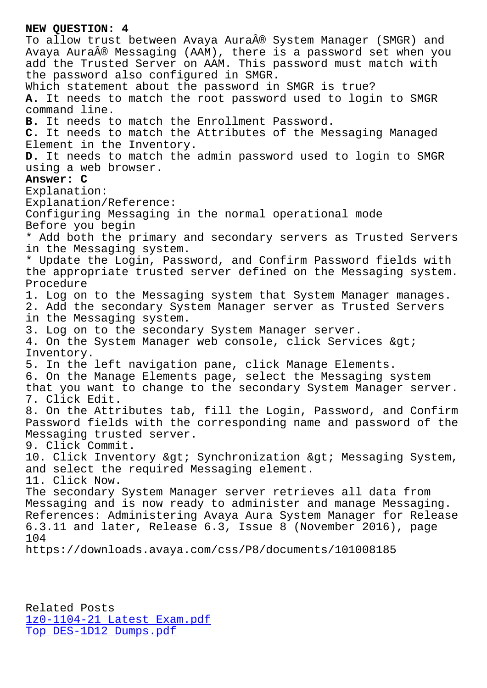To allow trust between Avaya Aura® System Manager (SMGR) and Avaya Aura® Messaging (AAM), there is a password set when you add the Trusted Server on AAM. This password must match with the password also configured in SMGR. Which statement about the password in SMGR is true? **A.** It needs to match the root password used to login to SMGR command line. **B.** It needs to match the Enrollment Password. **C.** It needs to match the Attributes of the Messaging Managed Element in the Inventory. **D.** It needs to match the admin password used to login to SMGR using a web browser. **Answer: C** Explanation: Explanation/Reference: Configuring Messaging in the normal operational mode Before you begin \* Add both the primary and secondary servers as Trusted Servers in the Messaging system. \* Update the Login, Password, and Confirm Password fields with the appropriate trusted server defined on the Messaging system. Procedure 1. Log on to the Messaging system that System Manager manages. 2. Add the secondary System Manager server as Trusted Servers in the Messaging system. 3. Log on to the secondary System Manager server. 4. On the System Manager web console, click Services > Inventory. 5. In the left navigation pane, click Manage Elements. 6. On the Manage Elements page, select the Messaging system that you want to change to the secondary System Manager server. 7. Click Edit. 8. On the Attributes tab, fill the Login, Password, and Confirm Password fields with the corresponding name and password of the Messaging trusted server. 9. Click Commit. 10. Click Inventory > Synchronization > Messaging System, and select the required Messaging element. 11. Click Now. The secondary System Manager server retrieves all data from Messaging and is now ready to administer and manage Messaging. References: Administering Avaya Aura System Manager for Release 6.3.11 and later, Release 6.3, Issue 8 (November 2016), page 104 https://downloads.avaya.com/css/P8/documents/101008185

Related Posts 1z0-1104-21 Latest Exam.pdf Top DES-1D12 Dumps.pdf